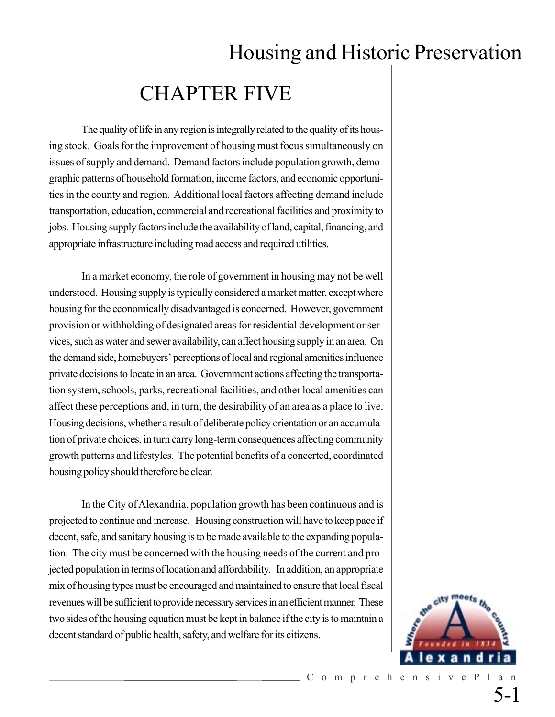## CHAPTER FIVE

The quality of life in any region is integrally related to the quality of its housing stock. Goals for the improvement of housing must focus simultaneously on issues of supply and demand. Demand factors include population growth, demographic patterns of household formation, income factors, and economic opportunities in the county and region. Additional local factors affecting demand include transportation, education, commercial and recreational facilities and proximity to jobs. Housing supply factors include the availability of land, capital, financing, and appropriate infrastructure including road access and required utilities.

In a market economy, the role of government in housing may not be well understood. Housing supply is typically considered a market matter, except where housing for the economically disadvantaged is concerned. However, government provision or withholding of designated areas for residential development or services, such as water and sewer availability, can affect housing supply in an area. On the demand side, homebuyers' perceptions of local and regional amenities influence private decisions to locate in an area. Government actions affecting the transportation system, schools, parks, recreational facilities, and other local amenities can affect these perceptions and, in turn, the desirability of an area as a place to live. Housing decisions, whether a result of deliberate policy orientation or an accumulation of private choices, in turn carry long-term consequences affecting community growth patterns and lifestyles. The potential benefits of a concerted, coordinated housing policy should therefore be clear.

In the City of Alexandria, population growth has been continuous and is projected to continue and increase. Housing construction will have to keep pace if decent, safe, and sanitary housing is to be made available to the expanding population. The city must be concerned with the housing needs of the current and projected population in terms of location and affordability. In addition, an appropriate mix of housing types must be encouraged and maintained to ensure that local fiscal revenues will be sufficient to provide necessary services in an efficient manner. These two sides of the housing equation must be kept in balance if the city is to maintain a decent standard of public health, safety, and welfare for its citizens.

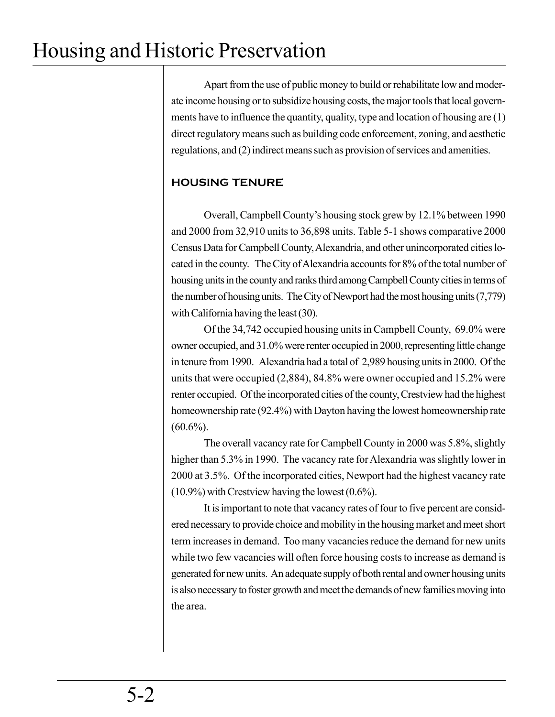Apart from the use of public money to build or rehabilitate low and moderate income housing or to subsidize housing costs, the major tools that local governments have to influence the quantity, quality, type and location of housing are (1) direct regulatory means such as building code enforcement, zoning, and aesthetic regulations, and (2) indirect means such as provision of services and amenities.

### **HOUSING TENURE**

Overall, Campbell County's housing stock grew by 12.1% between 1990 and 2000 from 32,910 units to 36,898 units. Table 5-1 shows comparative 2000 Census Data for Campbell County, Alexandria, and other unincorporated cities located in the county. The City of Alexandria accounts for 8% of the total number of housing units in the county and ranks third among Campbell County cities in terms of the number of housing units. The City of Newport had the most housing units (7,779) with California having the least (30).

Of the 34,742 occupied housing units in Campbell County, 69.0% were owner occupied, and 31.0% were renter occupied in 2000, representing little change in tenure from 1990. Alexandria had a total of 2,989 housing units in 2000. Of the units that were occupied (2,884), 84.8% were owner occupied and 15.2% were renter occupied. Of the incorporated cities of the county, Crestview had the highest homeownership rate (92.4%) with Dayton having the lowest homeownership rate  $(60.6\%)$ .

The overall vacancy rate for Campbell County in 2000 was 5.8%, slightly higher than 5.3% in 1990. The vacancy rate for Alexandria was slightly lower in 2000 at 3.5%. Of the incorporated cities, Newport had the highest vacancy rate (10.9%) with Crestview having the lowest (0.6%).

It is important to note that vacancy rates of four to five percent are considered necessary to provide choice and mobility in the housing market and meet short term increases in demand. Too many vacancies reduce the demand for new units while two few vacancies will often force housing costs to increase as demand is generated for new units. An adequate supply of both rental and owner housing units is also necessary to foster growth and meet the demands of new families moving into the area.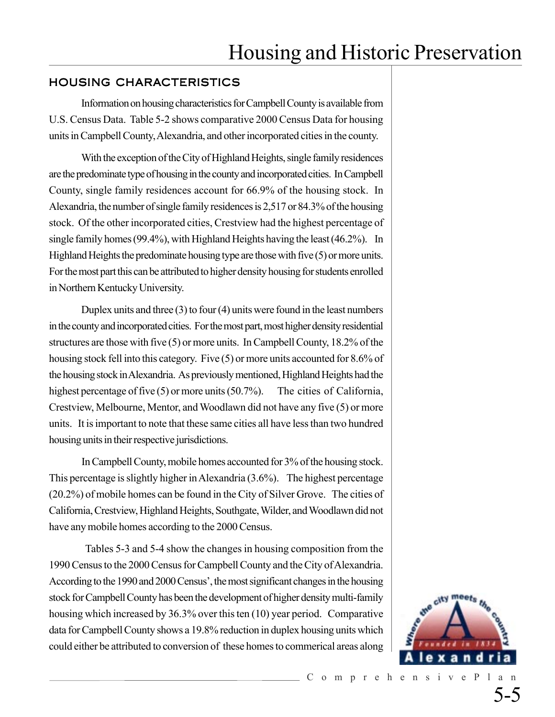### HOUSING CHARACTERISTICS

Information on housing characteristics for Campbell County is available from U.S. Census Data. Table 5-2 shows comparative 2000 Census Data for housing units in Campbell County, Alexandria, and other incorporated cities in the county.

With the exception of the City of Highland Heights, single family residences are the predominate type of housing in the county and incorporated cities. In Campbell County, single family residences account for 66.9% of the housing stock. In Alexandria, the number of single family residences is 2,517 or 84.3% of the housing stock. Of the other incorporated cities, Crestview had the highest percentage of single family homes (99.4%), with Highland Heights having the least (46.2%). In Highland Heights the predominate housing type are those with five (5) or more units. For the most part this can be attributed to higher density housing for students enrolled in Northern Kentucky University.

Duplex units and three (3) to four (4) units were found in the least numbers in the county and incorporated cities. For the most part, most higher density residential structures are those with five (5) or more units. In Campbell County, 18.2% of the housing stock fell into this category. Five (5) or more units accounted for 8.6% of the housing stock in Alexandria. As previously mentioned, Highland Heights had the highest percentage of five (5) or more units (50.7%). The cities of California, Crestview, Melbourne, Mentor, and Woodlawn did not have any five (5) or more units. It is important to note that these same cities all have less than two hundred housing units in their respective jurisdictions.

In Campbell County, mobile homes accounted for 3% of the housing stock. This percentage is slightly higher in Alexandria (3.6%). The highest percentage (20.2%) of mobile homes can be found in the City of Silver Grove. The cities of California, Crestview, Highland Heights, Southgate, Wilder, and Woodlawn did not have any mobile homes according to the 2000 Census.

 Tables 5-3 and 5-4 show the changes in housing composition from the 1990 Census to the 2000 Census for Campbell County and the City of Alexandria. According to the 1990 and 2000 Census', the most significant changes in the housing stock for Campbell County has been the development of higher density multi-family housing which increased by 36.3% over this ten (10) year period. Comparative data for Campbell County shows a 19.8% reduction in duplex housing units which could either be attributed to conversion of these homes to commerical areas along

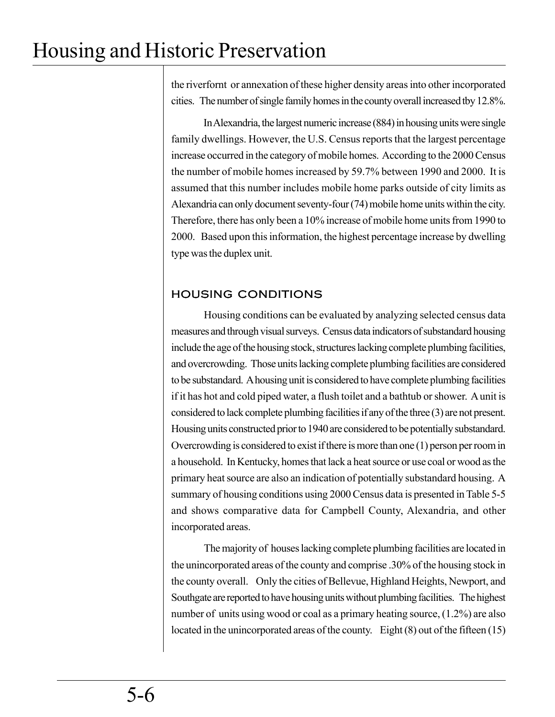the riverfornt or annexation of these higher density areas into other incorporated cities. The number of single family homes in the county overall increased tby 12.8%.

In Alexandria, the largest numeric increase (884) in housing units were single family dwellings. However, the U.S. Census reports that the largest percentage increase occurred in the category of mobile homes. According to the 2000 Census the number of mobile homes increased by 59.7% between 1990 and 2000. It is assumed that this number includes mobile home parks outside of city limits as Alexandria can only document seventy-four (74) mobile home units within the city. Therefore, there has only been a 10% increase of mobile home units from 1990 to 2000. Based upon this information, the highest percentage increase by dwelling type was the duplex unit.

## HOUSING CONDITIONS

Housing conditions can be evaluated by analyzing selected census data measures and through visual surveys. Census data indicators of substandard housing include the age of the housing stock, structures lacking complete plumbing facilities, and overcrowding. Those units lacking complete plumbing facilities are considered to be substandard. A housing unit is considered to have complete plumbing facilities if it has hot and cold piped water, a flush toilet and a bathtub or shower. A unit is considered to lack complete plumbing facilities if any of the three (3) are not present. Housing units constructed prior to 1940 are considered to be potentially substandard. Overcrowding is considered to exist if there is more than one (1) person per room in a household. In Kentucky, homes that lack a heat source or use coal or wood as the primary heat source are also an indication of potentially substandard housing. A summary of housing conditions using 2000 Census data is presented in Table 5-5 and shows comparative data for Campbell County, Alexandria, and other incorporated areas.

The majority of houses lacking complete plumbing facilities are located in the unincorporated areas of the county and comprise .30% of the housing stock in the county overall. Only the cities of Bellevue, Highland Heights, Newport, and Southgate are reported to have housing units without plumbing facilities. The highest number of units using wood or coal as a primary heating source, (1.2%) are also located in the unincorporated areas of the county. Eight (8) out of the fifteen (15)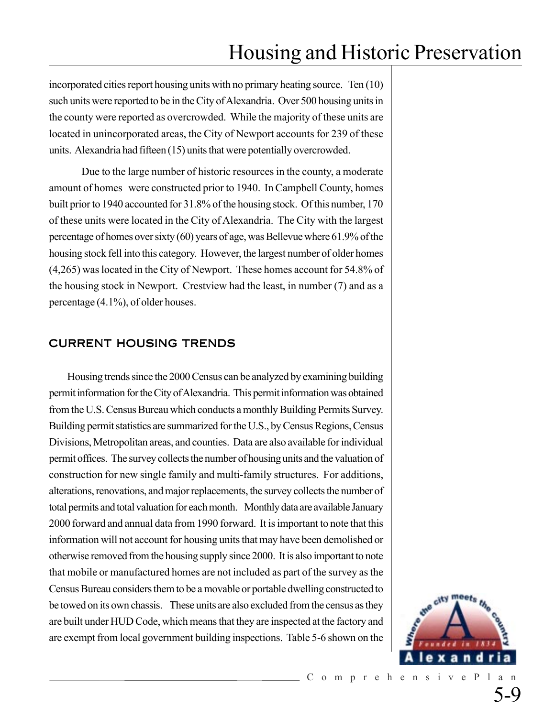incorporated cities report housing units with no primary heating source. Ten (10) such units were reported to be in the City of Alexandria. Over 500 housing units in the county were reported as overcrowded. While the majority of these units are located in unincorporated areas, the City of Newport accounts for 239 of these units. Alexandria had fifteen (15) units that were potentially overcrowded.

Due to the large number of historic resources in the county, a moderate amount of homes were constructed prior to 1940. In Campbell County, homes built prior to 1940 accounted for 31.8% of the housing stock. Of this number, 170 of these units were located in the City of Alexandria. The City with the largest percentage of homes over sixty (60) years of age, was Bellevue where 61.9% of the housing stock fell into this category. However, the largest number of older homes (4,265) was located in the City of Newport. These homes account for 54.8% of the housing stock in Newport. Crestview had the least, in number (7) and as a percentage (4.1%), of older houses.

### CURRENT HOUSING TRENDS

Housing trends since the 2000 Census can be analyzed by examining building permit information for the City of Alexandria. This permit information was obtained from the U.S. Census Bureau which conducts a monthly Building Permits Survey. Building permit statistics are summarized for the U.S., by Census Regions, Census Divisions, Metropolitan areas, and counties. Data are also available for individual permit offices. The survey collects the number of housing units and the valuation of construction for new single family and multi-family structures. For additions, alterations, renovations, and major replacements, the survey collects the number of total permits and total valuation for each month. Monthly data are available January 2000 forward and annual data from 1990 forward. It is important to note that this information will not account for housing units that may have been demolished or otherwise removed from the housing supply since 2000. It is also important to note that mobile or manufactured homes are not included as part of the survey as the Census Bureau considers them to be a movable or portable dwelling constructed to be towed on its own chassis. These units are also excluded from the census as they are built under HUD Code, which means that they are inspected at the factory and are exempt from local government building inspections. Table 5-6 shown on the

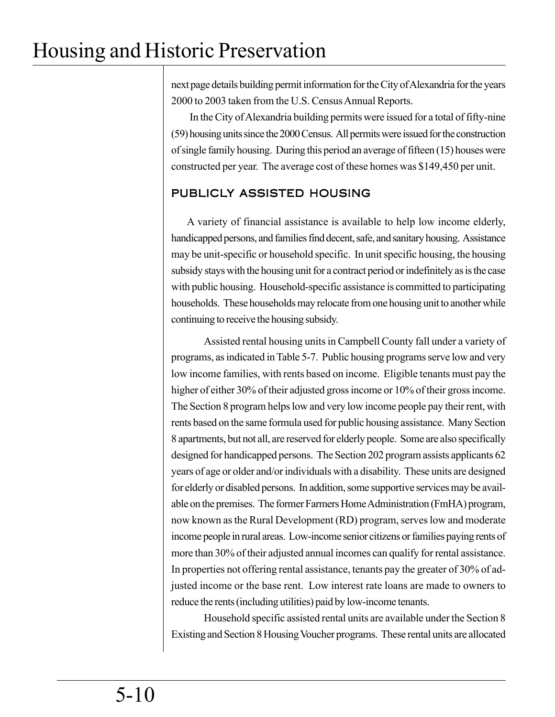next page details building permit information for the City of Alexandria for the years 2000 to 2003 taken from the U.S. Census Annual Reports.

In the City of Alexandria building permits were issued for a total of fifty-nine (59) housing units since the 2000 Census. All permits were issued for the construction of single family housing. During this period an average of fifteen (15) houses were constructed per year. The average cost of these homes was \$149,450 per unit.

## PUBLICLY ASSISTED HOUSING

A variety of financial assistance is available to help low income elderly, handicapped persons, and families find decent, safe, and sanitary housing. Assistance may be unit-specific or household specific. In unit specific housing, the housing subsidy stays with the housing unit for a contract period or indefinitely as is the case with public housing. Household-specific assistance is committed to participating households. These households may relocate from one housing unit to another while continuing to receive the housing subsidy.

Assisted rental housing units in Campbell County fall under a variety of programs, as indicated in Table 5-7. Public housing programs serve low and very low income families, with rents based on income. Eligible tenants must pay the higher of either 30% of their adjusted gross income or 10% of their gross income. The Section 8 program helps low and very low income people pay their rent, with rents based on the same formula used for public housing assistance. Many Section 8 apartments, but not all, are reserved for elderly people. Some are also specifically designed for handicapped persons. The Section 202 program assists applicants 62 years of age or older and/or individuals with a disability. These units are designed for elderly or disabled persons. In addition, some supportive services may be available on the premises. The former Farmers Home Administration (FmHA) program, now known as the Rural Development (RD) program, serves low and moderate income people in rural areas. Low-income senior citizens or families paying rents of more than 30% of their adjusted annual incomes can qualify for rental assistance. In properties not offering rental assistance, tenants pay the greater of 30% of adjusted income or the base rent. Low interest rate loans are made to owners to reduce the rents (including utilities) paid by low-income tenants.

Household specific assisted rental units are available under the Section 8 Existing and Section 8 Housing Voucher programs. These rental units are allocated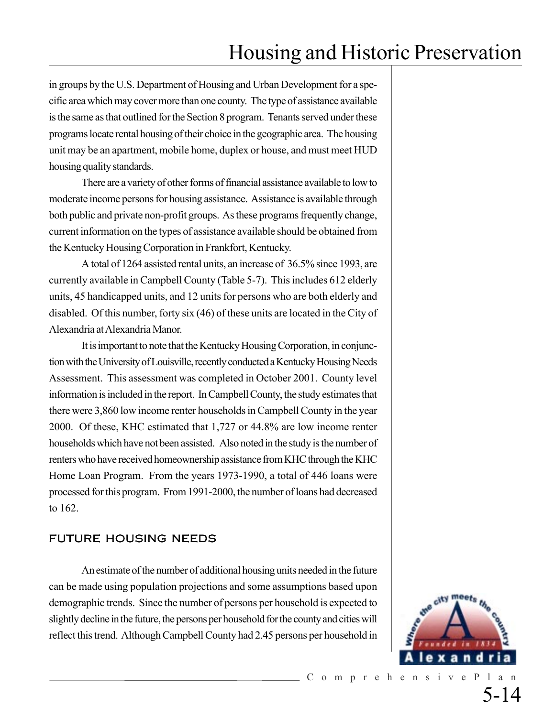in groups by the U.S. Department of Housing and Urban Development for a specific area which may cover more than one county. The type of assistance available is the same as that outlined for the Section 8 program. Tenants served under these programs locate rental housing of their choice in the geographic area. The housing unit may be an apartment, mobile home, duplex or house, and must meet HUD housing quality standards.

There are a variety of other forms of financial assistance available to low to moderate income persons for housing assistance. Assistance is available through both public and private non-profit groups. As these programs frequently change, current information on the types of assistance available should be obtained from the Kentucky Housing Corporation in Frankfort, Kentucky.

A total of 1264 assisted rental units, an increase of 36.5% since 1993, are currently available in Campbell County (Table 5-7). This includes 612 elderly units, 45 handicapped units, and 12 units for persons who are both elderly and disabled. Of this number, forty six (46) of these units are located in the City of Alexandria at Alexandria Manor.

It is important to note that the Kentucky Housing Corporation, in conjunction with the University of Louisville, recently conducted a Kentucky Housing Needs Assessment. This assessment was completed in October 2001. County level information is included in the report. In Campbell County, the study estimates that there were 3,860 low income renter households in Campbell County in the year 2000. Of these, KHC estimated that 1,727 or 44.8% are low income renter households which have not been assisted. Also noted in the study is the number of renters who have received homeownership assistance from KHC through the KHC Home Loan Program. From the years 1973-1990, a total of 446 loans were processed for this program. From 1991-2000, the number of loans had decreased to 162.

### FUTURE HOUSING NEEDS

An estimate of the number of additional housing units needed in the future can be made using population projections and some assumptions based upon demographic trends. Since the number of persons per household is expected to slightly decline in the future, the persons per household for the county and cities will reflect this trend. Although Campbell County had 2.45 persons per household in

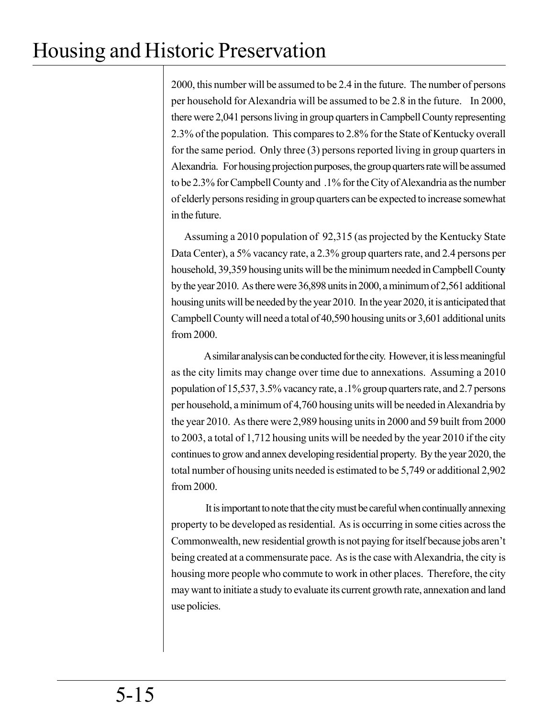2000, this number will be assumed to be 2.4 in the future. The number of persons per household for Alexandria will be assumed to be 2.8 in the future. In 2000, there were 2,041 persons living in group quarters in Campbell County representing 2.3% of the population. This compares to 2.8% for the State of Kentucky overall for the same period. Only three (3) persons reported living in group quarters in Alexandria. For housing projection purposes, the group quarters rate will be assumed to be 2.3% for Campbell County and .1% for the City of Alexandria as the number of elderly persons residing in group quarters can be expected to increase somewhat in the future.

Assuming a 2010 population of 92,315 (as projected by the Kentucky State Data Center), a 5% vacancy rate, a 2.3% group quarters rate, and 2.4 persons per household, 39,359 housing units will be the minimum needed in Campbell Count**y** by the year 2010. As there were 36,898 units in 2000, a minimum of 2,561 additional housing units will be needed by the year 2010. In the year 2020, it is anticipated that Campbell County will need a total of 40,590 housing units or 3,601 additional units from 2000.

A similar analysis can be conducted for the city. However, it is less meaningful as the city limits may change over time due to annexations. Assuming a 2010 population of 15,537, 3.5% vacancy rate, a .1% group quarters rate, and 2.7 persons per household, a minimum of 4,760 housing units will be needed in Alexandria by the year 2010. As there were 2,989 housing units in 2000 and 59 built from 2000 to 2003, a total of 1,712 housing units will be needed by the year 2010 if the city continues to grow and annex developing residential property. By the year 2020, the total number of housing units needed is estimated to be 5,749 or additional 2,902 from 2000.

 It is important to note that the city must be careful when continually annexing property to be developed as residential. As is occurring in some cities across the Commonwealth, new residential growth is not paying for itself because jobs aren't being created at a commensurate pace. As is the case with Alexandria, the city is housing more people who commute to work in other places. Therefore, the city may want to initiate a study to evaluate its current growth rate, annexation and land use policies.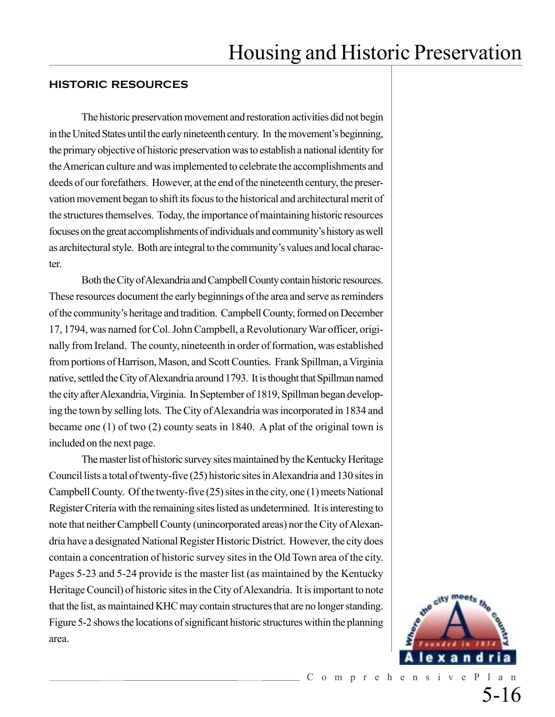#### **HISTORIC RESOURCES**

The historic preservation movement and restoration activities did not begin in the United States until the early nineteenth century. In the movement's beginning, the primary objective of historic preservation was to establish a national identity for the American culture and was implemented to celebrate the accomplishments and deeds of our forefathers. However, at the end of the nineteenth century, the preservation movement began to shift its focus to the historical and architectural merit of the structures themselves. Today, the importance of maintaining historic resources focuses on the great accomplishments of individuals and community's history as well as architectural style. Both are integral to the community's values and local character.

Both the City of Alexandria and Campbell County contain historic resources. These resources document the early beginnings of the area and serve as reminders of the community's heritage and tradition. Campbell County, formed on December 17, 1794, was named for Col. John Campbell, a Revolutionary War officer, originally from Ireland. The county, nineteenth in order of formation, was established from portions of Harrison, Mason, and Scott Counties. Frank Spillman, a Virginia native, settled the City of Alexandria around 1793. It is thought that Spillman named the city after Alexandria, Virginia. In September of 1819, Spillman began developing the town by selling lots. The City of Alexandria was incorporated in 1834 and became one (1) of two (2) county seats in 1840. A plat of the original town is included on the next page.

The master list of historic survey sites maintained by the Kentucky Heritage Council lists a total of twenty-five (25) historic sites in Alexandria and 130 sites in Campbell County. Of the twenty-five (25) sites in the city, one (1) meets National Register Criteria with the remaining sites listed as undetermined. It is interesting to note that neither Campbell County (unincorporated areas) nor the City of Alexandria have a designated National Register Historic District. However, the city does contain a concentration of historic survey sites in the Old Town area of the city. Pages 5-23 and 5-24 provide is the master list (as maintained by the Kentucky Heritage Council) of historic sites in the City of Alexandria. It is important to note that the list, as maintained KHC may contain structures that are no longer standing. Figure 5-2 shows the locations of significant historic structures within the planning area.

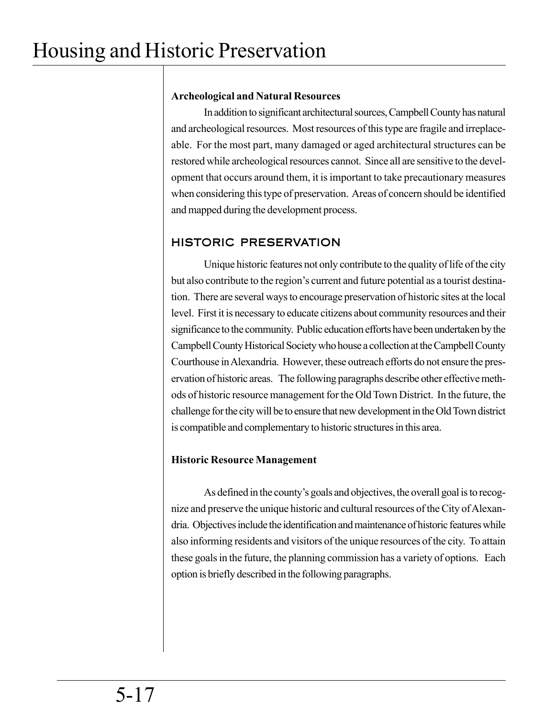### **Archeological and Natural Resources**

In addition to significant architectural sources, Campbell County has natural and archeological resources. Most resources of this type are fragile and irreplaceable. For the most part, many damaged or aged architectural structures can be restored while archeological resources cannot. Since all are sensitive to the development that occurs around them, it is important to take precautionary measures when considering this type of preservation. Areas of concern should be identified and mapped during the development process.

## HISTORIC PRESERVATION

Unique historic features not only contribute to the quality of life of the city but also contribute to the region's current and future potential as a tourist destination. There are several ways to encourage preservation of historic sites at the local level. First it is necessary to educate citizens about community resources and their significance to the community. Public education efforts have been undertaken by the Campbell County Historical Society who house a collection at the Campbell County Courthouse in Alexandria. However, these outreach efforts do not ensure the preservation of historic areas. The following paragraphs describe other effective methods of historic resource management for the Old Town District. In the future, the challenge for the city will be to ensure that new development in the Old Town district is compatible and complementary to historic structures in this area.

## **Historic Resource Management**

As defined in the county's goals and objectives, the overall goal is to recognize and preserve the unique historic and cultural resources of the City of Alexandria. Objectives include the identification and maintenance of historic features while also informing residents and visitors of the unique resources of the city. To attain these goals in the future, the planning commission has a variety of options. Each option is briefly described in the following paragraphs.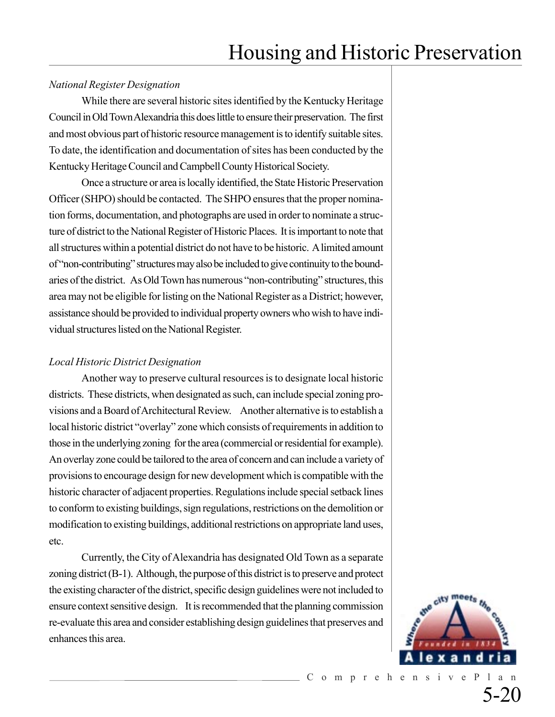### *National Register Designation*

While there are several historic sites identified by the Kentucky Heritage Council in Old Town Alexandria this does little to ensure their preservation. The first and most obvious part of historic resource management is to identify suitable sites. To date, the identification and documentation of sites has been conducted by the Kentucky Heritage Council and Campbell County Historical Society.

Once a structure or area is locally identified, the State Historic Preservation Officer (SHPO) should be contacted. The SHPO ensures that the proper nomination forms, documentation, and photographs are used in order to nominate a structure of district to the National Register of Historic Places. It is important to note that all structures within a potential district do not have to be historic. A limited amount of "non-contributing" structures may also be included to give continuity to the boundaries of the district. As Old Town has numerous "non-contributing" structures, this area may not be eligible for listing on the National Register as a District; however, assistance should be provided to individual property owners who wish to have individual structures listed on the National Register.

#### *Local Historic District Designation*

Another way to preserve cultural resources is to designate local historic districts. These districts, when designated as such, can include special zoning provisions and a Board of Architectural Review. Another alternative is to establish a local historic district "overlay" zone which consists of requirements in addition to those in the underlying zoning for the area (commercial or residential for example). An overlay zone could be tailored to the area of concern and can include a variety of provisions to encourage design for new development which is compatible with the historic character of adjacent properties. Regulations include special setback lines to conform to existing buildings, sign regulations, restrictions on the demolition or modification to existing buildings, additional restrictions on appropriate land uses, etc.

Currently, the City of Alexandria has designated Old Town as a separate zoning district (B-1). Although, the purpose of this district is to preserve and protect the existing character of the district, specific design guidelines were not included to ensure context sensitive design. It is recommended that the planning commission re-evaluate this area and consider establishing design guidelines that preserves and enhances this area.

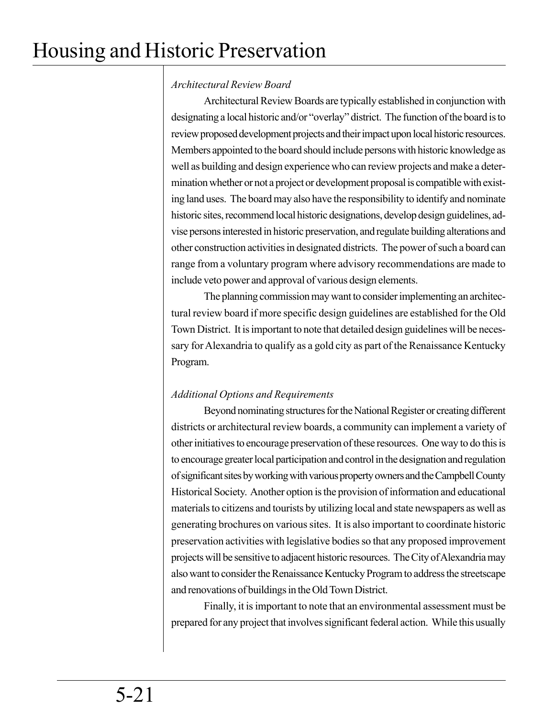## *Architectural Review Board*

Architectural Review Boards are typically established in conjunction with designating a local historic and/or "overlay" district. The function of the board is to review proposed development projects and their impact upon local historic resources. Members appointed to the board should include persons with historic knowledge as well as building and design experience who can review projects and make a determination whether or not a project or development proposal is compatible with existing land uses. The board may also have the responsibility to identify and nominate historic sites, recommend local historic designations, develop design guidelines, advise persons interested in historic preservation, and regulate building alterations and other construction activities in designated districts. The power of such a board can range from a voluntary program where advisory recommendations are made to include veto power and approval of various design elements.

The planning commission may want to consider implementing an architectural review board if more specific design guidelines are established for the Old Town District. It is important to note that detailed design guidelines will be necessary for Alexandria to qualify as a gold city as part of the Renaissance Kentucky Program.

## *Additional Options and Requirements*

Beyond nominating structures for the National Register or creating different districts or architectural review boards, a community can implement a variety of other initiatives to encourage preservation of these resources. One way to do this is to encourage greater local participation and control in the designation and regulation of significant sites by working with various property owners and the Campbell County Historical Society. Another option is the provision of information and educational materials to citizens and tourists by utilizing local and state newspapers as well as generating brochures on various sites. It is also important to coordinate historic preservation activities with legislative bodies so that any proposed improvement projects will be sensitive to adjacent historic resources. The City of Alexandria may also want to consider the Renaissance Kentucky Program to address the streetscape and renovations of buildings in the Old Town District.

Finally, it is important to note that an environmental assessment must be prepared for any project that involves significant federal action. While this usually